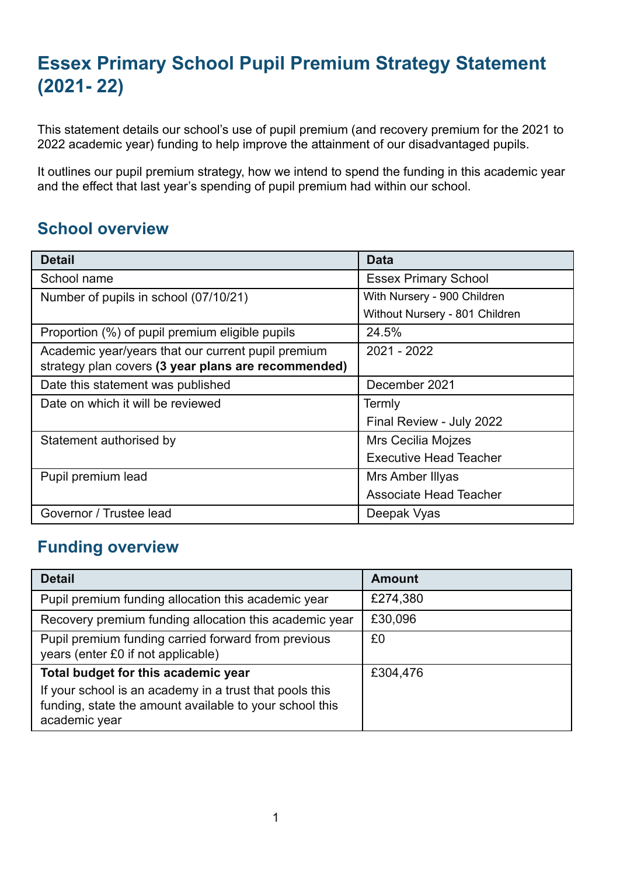# **Essex Primary School Pupil Premium Strategy Statement (2021- 22)**

This statement details our school's use of pupil premium (and recovery premium for the 2021 to 2022 academic year) funding to help improve the attainment of our disadvantaged pupils.

It outlines our pupil premium strategy, how we intend to spend the funding in this academic year and the effect that last year's spending of pupil premium had within our school.

## **School overview**

| <b>Detail</b>                                                                                             | <b>Data</b>                    |
|-----------------------------------------------------------------------------------------------------------|--------------------------------|
| School name                                                                                               | <b>Essex Primary School</b>    |
| Number of pupils in school (07/10/21)                                                                     | With Nursery - 900 Children    |
|                                                                                                           | Without Nursery - 801 Children |
| Proportion (%) of pupil premium eligible pupils                                                           | 24.5%                          |
| Academic year/years that our current pupil premium<br>strategy plan covers (3 year plans are recommended) | 2021 - 2022                    |
| Date this statement was published                                                                         | December 2021                  |
| Date on which it will be reviewed                                                                         | Termly                         |
|                                                                                                           | Final Review - July 2022       |
| Statement authorised by                                                                                   | <b>Mrs Cecilia Mojzes</b>      |
|                                                                                                           | <b>Executive Head Teacher</b>  |
| Pupil premium lead                                                                                        | Mrs Amber Illyas               |
|                                                                                                           | <b>Associate Head Teacher</b>  |
| Governor / Trustee lead                                                                                   | Deepak Vyas                    |

## **Funding overview**

| <b>Detail</b>                                                                                                                       | <b>Amount</b> |
|-------------------------------------------------------------------------------------------------------------------------------------|---------------|
| Pupil premium funding allocation this academic year                                                                                 | £274,380      |
| Recovery premium funding allocation this academic year                                                                              | £30,096       |
| Pupil premium funding carried forward from previous<br>years (enter £0 if not applicable)                                           | £0            |
| Total budget for this academic year                                                                                                 | £304,476      |
| If your school is an academy in a trust that pools this<br>funding, state the amount available to your school this<br>academic year |               |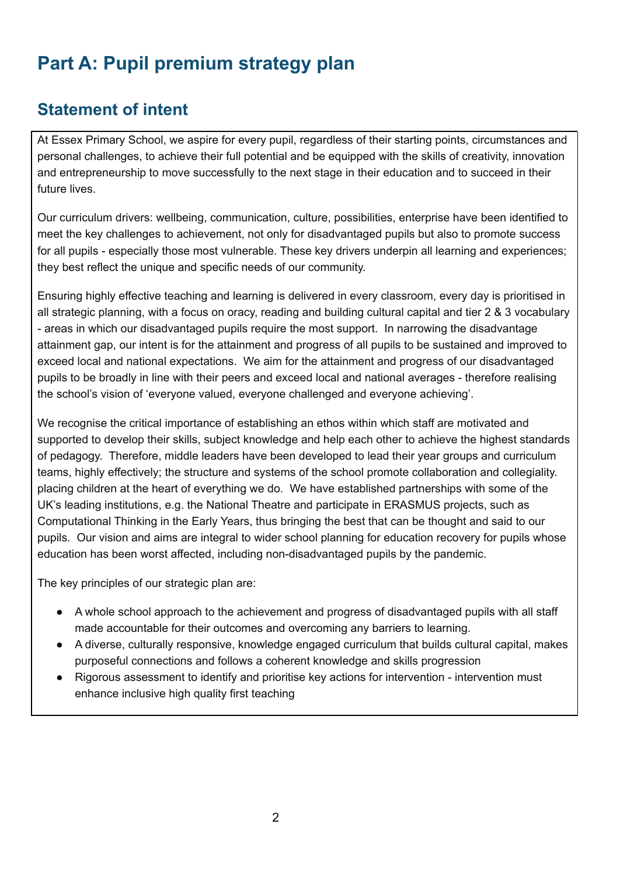# **Part A: Pupil premium strategy plan**

# **Statement of intent**

At Essex Primary School, we aspire for every pupil, regardless of their starting points, circumstances and personal challenges, to achieve their full potential and be equipped with the skills of creativity, innovation and entrepreneurship to move successfully to the next stage in their education and to succeed in their future lives.

Our curriculum drivers: wellbeing, communication, culture, possibilities, enterprise have been identified to meet the key challenges to achievement, not only for disadvantaged pupils but also to promote success for all pupils - especially those most vulnerable. These key drivers underpin all learning and experiences; they best reflect the unique and specific needs of our community.

Ensuring highly effective teaching and learning is delivered in every classroom, every day is prioritised in all strategic planning, with a focus on oracy, reading and building cultural capital and tier 2 & 3 vocabulary - areas in which our disadvantaged pupils require the most support. In narrowing the disadvantage attainment gap, our intent is for the attainment and progress of all pupils to be sustained and improved to exceed local and national expectations. We aim for the attainment and progress of our disadvantaged pupils to be broadly in line with their peers and exceed local and national averages - therefore realising the school's vision of 'everyone valued, everyone challenged and everyone achieving'.

We recognise the critical importance of establishing an ethos within which staff are motivated and supported to develop their skills, subject knowledge and help each other to achieve the highest standards of pedagogy. Therefore, middle leaders have been developed to lead their year groups and curriculum teams, highly effectively; the structure and systems of the school promote collaboration and collegiality. placing children at the heart of everything we do. We have established partnerships with some of the UK's leading institutions, e.g. the National Theatre and participate in ERASMUS projects, such as Computational Thinking in the Early Years, thus bringing the best that can be thought and said to our pupils. Our vision and aims are integral to wider school planning for education recovery for pupils whose education has been worst affected, including non-disadvantaged pupils by the pandemic.

The key principles of our strategic plan are:

- A whole school approach to the achievement and progress of disadvantaged pupils with all staff made accountable for their outcomes and overcoming any barriers to learning.
- A diverse, culturally responsive, knowledge engaged curriculum that builds cultural capital, makes purposeful connections and follows a coherent knowledge and skills progression
- Rigorous assessment to identify and prioritise key actions for intervention intervention must enhance inclusive high quality first teaching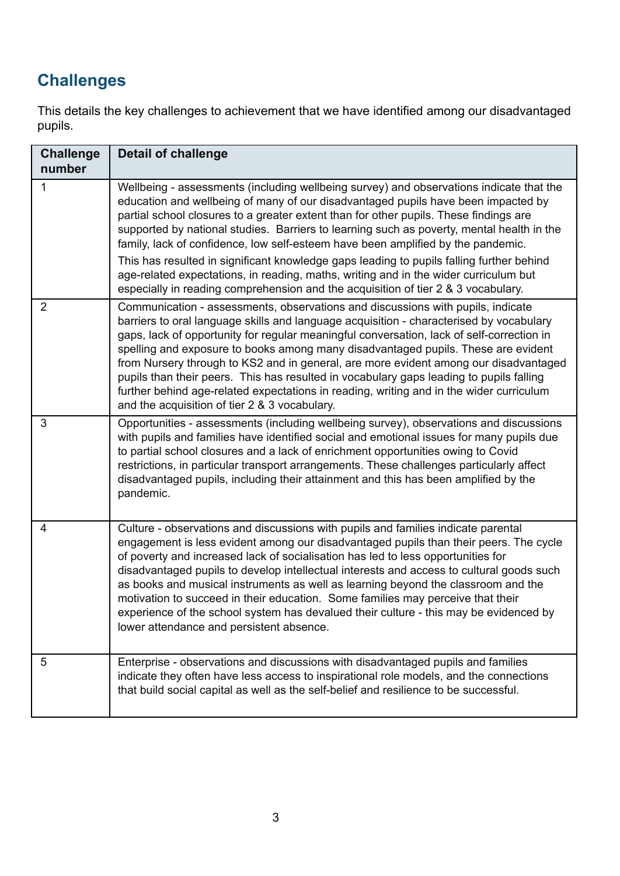# **Challenges**

This details the key challenges to achievement that we have identified among our disadvantaged pupils.

| <b>Challenge</b><br>number | <b>Detail of challenge</b>                                                                                                                                                                                                                                                                                                                                                                                                                                                                                                                                                                                                                                                                                                      |
|----------------------------|---------------------------------------------------------------------------------------------------------------------------------------------------------------------------------------------------------------------------------------------------------------------------------------------------------------------------------------------------------------------------------------------------------------------------------------------------------------------------------------------------------------------------------------------------------------------------------------------------------------------------------------------------------------------------------------------------------------------------------|
| 1                          | Wellbeing - assessments (including wellbeing survey) and observations indicate that the<br>education and wellbeing of many of our disadvantaged pupils have been impacted by<br>partial school closures to a greater extent than for other pupils. These findings are<br>supported by national studies. Barriers to learning such as poverty, mental health in the<br>family, lack of confidence, low self-esteem have been amplified by the pandemic.<br>This has resulted in significant knowledge gaps leading to pupils falling further behind<br>age-related expectations, in reading, maths, writing and in the wider curriculum but<br>especially in reading comprehension and the acquisition of tier 2 & 3 vocabulary. |
| $\overline{2}$             | Communication - assessments, observations and discussions with pupils, indicate<br>barriers to oral language skills and language acquisition - characterised by vocabulary<br>gaps, lack of opportunity for regular meaningful conversation, lack of self-correction in<br>spelling and exposure to books among many disadvantaged pupils. These are evident<br>from Nursery through to KS2 and in general, are more evident among our disadvantaged<br>pupils than their peers. This has resulted in vocabulary gaps leading to pupils falling<br>further behind age-related expectations in reading, writing and in the wider curriculum<br>and the acquisition of tier 2 & 3 vocabulary.                                     |
| 3                          | Opportunities - assessments (including wellbeing survey), observations and discussions<br>with pupils and families have identified social and emotional issues for many pupils due<br>to partial school closures and a lack of enrichment opportunities owing to Covid<br>restrictions, in particular transport arrangements. These challenges particularly affect<br>disadvantaged pupils, including their attainment and this has been amplified by the<br>pandemic.                                                                                                                                                                                                                                                          |
| 4                          | Culture - observations and discussions with pupils and families indicate parental<br>engagement is less evident among our disadvantaged pupils than their peers. The cycle<br>of poverty and increased lack of socialisation has led to less opportunities for<br>disadvantaged pupils to develop intellectual interests and access to cultural goods such<br>as books and musical instruments as well as learning beyond the classroom and the<br>motivation to succeed in their education. Some families may perceive that their<br>experience of the school system has devalued their culture - this may be evidenced by<br>lower attendance and persistent absence.                                                         |
| 5                          | Enterprise - observations and discussions with disadvantaged pupils and families<br>indicate they often have less access to inspirational role models, and the connections<br>that build social capital as well as the self-belief and resilience to be successful.                                                                                                                                                                                                                                                                                                                                                                                                                                                             |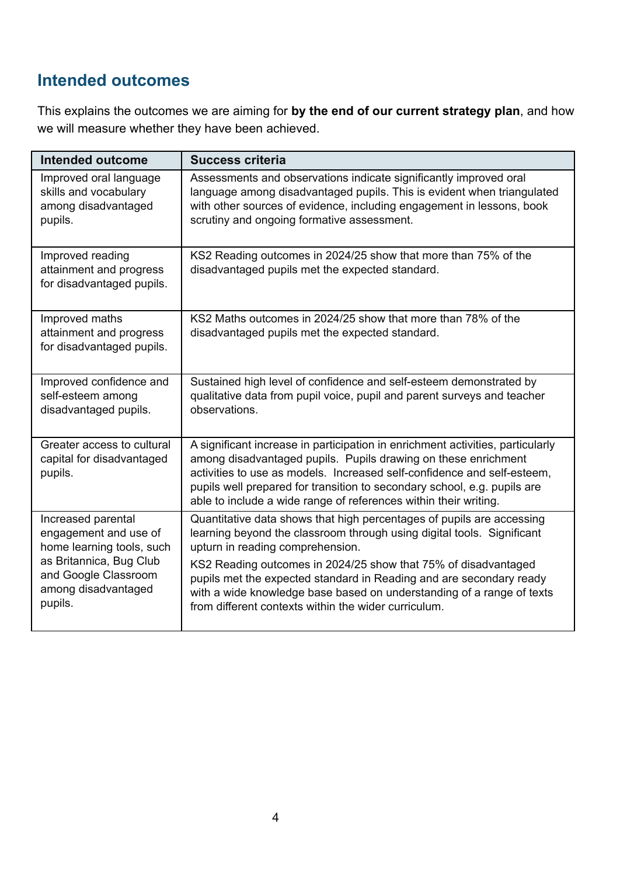## **Intended outcomes**

This explains the outcomes we are aiming for **by the end of our current strategy plan**, and how we will measure whether they have been achieved.

| <b>Intended outcome</b>                                                                                                                                       | <b>Success criteria</b>                                                                                                                                                                                                                                                                                                                                                                                                                                       |
|---------------------------------------------------------------------------------------------------------------------------------------------------------------|---------------------------------------------------------------------------------------------------------------------------------------------------------------------------------------------------------------------------------------------------------------------------------------------------------------------------------------------------------------------------------------------------------------------------------------------------------------|
| Improved oral language<br>skills and vocabulary<br>among disadvantaged<br>pupils.                                                                             | Assessments and observations indicate significantly improved oral<br>language among disadvantaged pupils. This is evident when triangulated<br>with other sources of evidence, including engagement in lessons, book<br>scrutiny and ongoing formative assessment.                                                                                                                                                                                            |
| Improved reading<br>attainment and progress<br>for disadvantaged pupils.                                                                                      | KS2 Reading outcomes in 2024/25 show that more than 75% of the<br>disadvantaged pupils met the expected standard.                                                                                                                                                                                                                                                                                                                                             |
| Improved maths<br>attainment and progress<br>for disadvantaged pupils.                                                                                        | KS2 Maths outcomes in 2024/25 show that more than 78% of the<br>disadvantaged pupils met the expected standard.                                                                                                                                                                                                                                                                                                                                               |
| Improved confidence and<br>self-esteem among<br>disadvantaged pupils.                                                                                         | Sustained high level of confidence and self-esteem demonstrated by<br>qualitative data from pupil voice, pupil and parent surveys and teacher<br>observations.                                                                                                                                                                                                                                                                                                |
| Greater access to cultural<br>capital for disadvantaged<br>pupils.                                                                                            | A significant increase in participation in enrichment activities, particularly<br>among disadvantaged pupils. Pupils drawing on these enrichment<br>activities to use as models. Increased self-confidence and self-esteem,<br>pupils well prepared for transition to secondary school, e.g. pupils are<br>able to include a wide range of references within their writing.                                                                                   |
| Increased parental<br>engagement and use of<br>home learning tools, such<br>as Britannica, Bug Club<br>and Google Classroom<br>among disadvantaged<br>pupils. | Quantitative data shows that high percentages of pupils are accessing<br>learning beyond the classroom through using digital tools. Significant<br>upturn in reading comprehension.<br>KS2 Reading outcomes in 2024/25 show that 75% of disadvantaged<br>pupils met the expected standard in Reading and are secondary ready<br>with a wide knowledge base based on understanding of a range of texts<br>from different contexts within the wider curriculum. |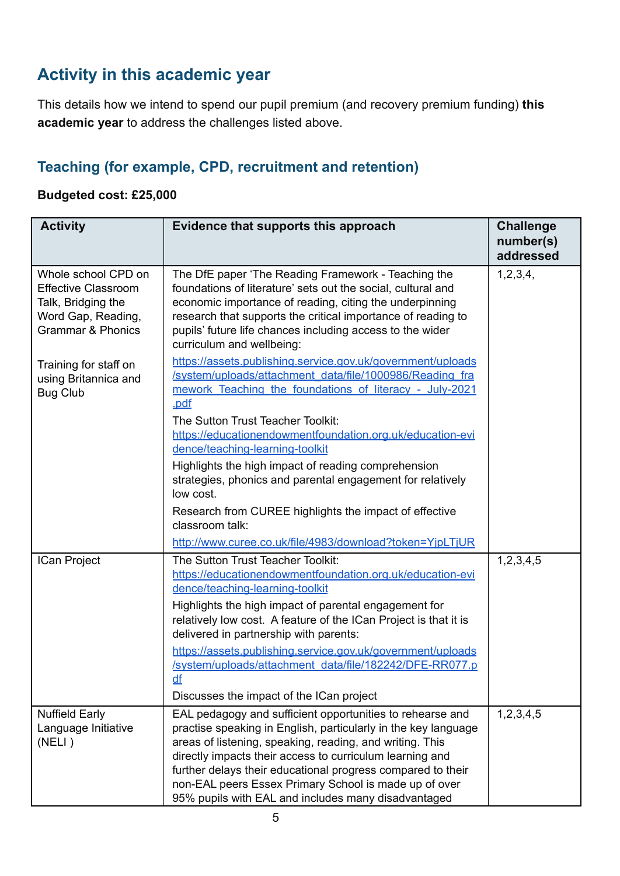# **Activity in this academic year**

This details how we intend to spend our pupil premium (and recovery premium funding) **this academic year** to address the challenges listed above.

### **Teaching (for example, CPD, recruitment and retention)**

#### **Budgeted cost: £25,000**

| <b>Activity</b>                                                                                                               | Evidence that supports this approach                                                                                                                                                                                                                                                                                                                                                                                                                                                                                                             | <b>Challenge</b><br>number(s)<br>addressed |
|-------------------------------------------------------------------------------------------------------------------------------|--------------------------------------------------------------------------------------------------------------------------------------------------------------------------------------------------------------------------------------------------------------------------------------------------------------------------------------------------------------------------------------------------------------------------------------------------------------------------------------------------------------------------------------------------|--------------------------------------------|
| Whole school CPD on<br><b>Effective Classroom</b><br>Talk, Bridging the<br>Word Gap, Reading,<br><b>Grammar &amp; Phonics</b> | The DfE paper 'The Reading Framework - Teaching the<br>foundations of literature' sets out the social, cultural and<br>economic importance of reading, citing the underpinning<br>research that supports the critical importance of reading to<br>pupils' future life chances including access to the wider<br>curriculum and wellbeing:                                                                                                                                                                                                         | 1,2,3,4,                                   |
| Training for staff on<br>using Britannica and<br><b>Bug Club</b>                                                              | https://assets.publishing.service.gov.uk/government/uploads<br>/system/uploads/attachment_data/file/1000986/Reading_fra<br>mework Teaching the foundations of literacy - July-2021<br>.pdf<br>The Sutton Trust Teacher Toolkit:<br>https://educationendowmentfoundation.org.uk/education-evi<br>dence/teaching-learning-toolkit<br>Highlights the high impact of reading comprehension                                                                                                                                                           |                                            |
|                                                                                                                               | strategies, phonics and parental engagement for relatively<br>low cost.<br>Research from CUREE highlights the impact of effective<br>classroom talk:                                                                                                                                                                                                                                                                                                                                                                                             |                                            |
| ICan Project                                                                                                                  | http://www.curee.co.uk/file/4983/download?token=YjpLTjUR<br>The Sutton Trust Teacher Toolkit:<br>https://educationendowmentfoundation.org.uk/education-evi<br>dence/teaching-learning-toolkit<br>Highlights the high impact of parental engagement for<br>relatively low cost. A feature of the ICan Project is that it is<br>delivered in partnership with parents:<br>https://assets.publishing.service.gov.uk/government/uploads<br>/system/uploads/attachment_data/file/182242/DFE-RR077.p<br>df<br>Discusses the impact of the ICan project | 1,2,3,4,5                                  |
| <b>Nuffield Early</b><br>Language Initiative<br>(NELI)                                                                        | EAL pedagogy and sufficient opportunities to rehearse and<br>practise speaking in English, particularly in the key language<br>areas of listening, speaking, reading, and writing. This<br>directly impacts their access to curriculum learning and<br>further delays their educational progress compared to their<br>non-EAL peers Essex Primary School is made up of over<br>95% pupils with EAL and includes many disadvantaged                                                                                                               | 1,2,3,4,5                                  |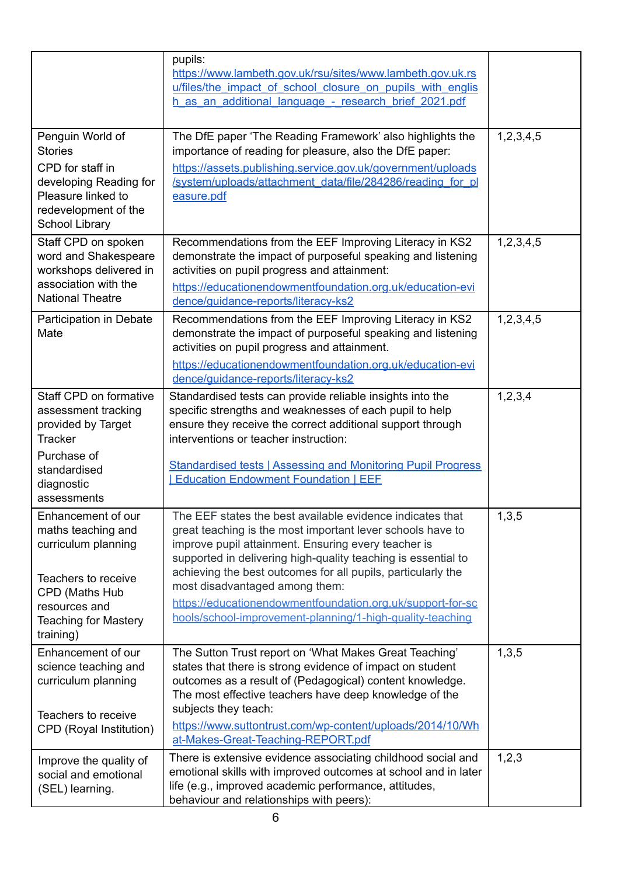|                                                                                                                                                                       | pupils:<br>https://www.lambeth.gov.uk/rsu/sites/www.lambeth.gov.uk.rs<br>u/files/the impact of school closure on pupils with englis<br>h as an additional language - research brief 2021.pdf                                                                                                                                                                                                                                                                                 |               |
|-----------------------------------------------------------------------------------------------------------------------------------------------------------------------|------------------------------------------------------------------------------------------------------------------------------------------------------------------------------------------------------------------------------------------------------------------------------------------------------------------------------------------------------------------------------------------------------------------------------------------------------------------------------|---------------|
| Penguin World of<br><b>Stories</b><br>CPD for staff in<br>developing Reading for<br>Pleasure linked to<br>redevelopment of the<br>School Library                      | The DfE paper 'The Reading Framework' also highlights the<br>importance of reading for pleasure, also the DfE paper:<br>https://assets.publishing.service.gov.uk/government/uploads<br>/system/uploads/attachment_data/file/284286/reading_for_pl<br>easure.pdf                                                                                                                                                                                                              | 1, 2, 3, 4, 5 |
| Staff CPD on spoken<br>word and Shakespeare<br>workshops delivered in<br>association with the<br><b>National Theatre</b>                                              | Recommendations from the EEF Improving Literacy in KS2<br>demonstrate the impact of purposeful speaking and listening<br>activities on pupil progress and attainment:<br>https://educationendowmentfoundation.org.uk/education-evi<br>dence/quidance-reports/literacy-ks2                                                                                                                                                                                                    | 1,2,3,4,5     |
| Participation in Debate<br>Mate                                                                                                                                       | Recommendations from the EEF Improving Literacy in KS2<br>demonstrate the impact of purposeful speaking and listening<br>activities on pupil progress and attainment.<br>https://educationendowmentfoundation.org.uk/education-evi<br>dence/quidance-reports/literacy-ks2                                                                                                                                                                                                    | 1,2,3,4,5     |
| Staff CPD on formative<br>assessment tracking<br>provided by Target<br><b>Tracker</b><br>Purchase of<br>standardised<br>diagnostic<br>assessments                     | Standardised tests can provide reliable insights into the<br>specific strengths and weaknesses of each pupil to help<br>ensure they receive the correct additional support through<br>interventions or teacher instruction:<br><b>Standardised tests   Assessing and Monitoring Pupil Progress</b><br><b>Education Endowment Foundation   EEF</b>                                                                                                                            | 1,2,3,4       |
| Enhancement of our<br>maths teaching and<br>curriculum planning<br>Teachers to receive<br>CPD (Maths Hub<br>resources and<br><b>Teaching for Mastery</b><br>training) | The EEF states the best available evidence indicates that<br>great teaching is the most important lever schools have to<br>improve pupil attainment. Ensuring every teacher is<br>supported in delivering high-quality teaching is essential to<br>achieving the best outcomes for all pupils, particularly the<br>most disadvantaged among them:<br>https://educationendowmentfoundation.org.uk/support-for-sc<br>hools/school-improvement-planning/1-high-quality-teaching | 1,3,5         |
| Enhancement of our<br>science teaching and<br>curriculum planning<br>Teachers to receive<br>CPD (Royal Institution)                                                   | The Sutton Trust report on 'What Makes Great Teaching'<br>states that there is strong evidence of impact on student<br>outcomes as a result of (Pedagogical) content knowledge.<br>The most effective teachers have deep knowledge of the<br>subjects they teach:<br>https://www.suttontrust.com/wp-content/uploads/2014/10/Wh<br>at-Makes-Great-Teaching-REPORT.pdf                                                                                                         | 1,3,5         |
| Improve the quality of<br>social and emotional<br>(SEL) learning.                                                                                                     | There is extensive evidence associating childhood social and<br>emotional skills with improved outcomes at school and in later<br>life (e.g., improved academic performance, attitudes,<br>behaviour and relationships with peers):                                                                                                                                                                                                                                          | 1,2,3         |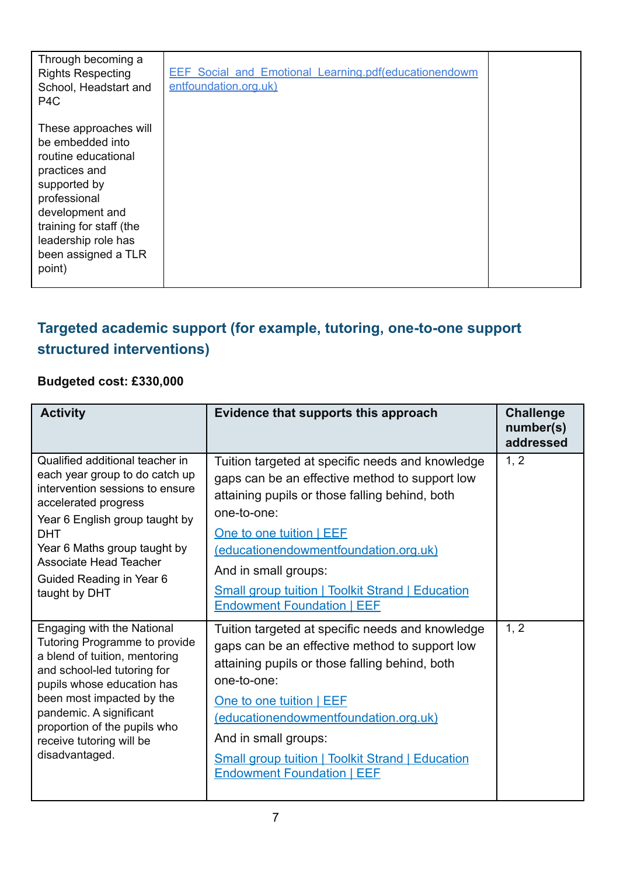| Through becoming a<br><b>Rights Respecting</b><br>School, Headstart and<br>P4C                                                                                                                                          | <b>EEF Social and Emotional Learning.pdf(educationendowm</b><br>entfoundation.org.uk) |  |
|-------------------------------------------------------------------------------------------------------------------------------------------------------------------------------------------------------------------------|---------------------------------------------------------------------------------------|--|
| These approaches will<br>be embedded into<br>routine educational<br>practices and<br>supported by<br>professional<br>development and<br>training for staff (the<br>leadership role has<br>been assigned a TLR<br>point) |                                                                                       |  |

# **Targeted academic support (for example, tutoring, one-to-one support structured interventions)**

### **Budgeted cost: £330,000**

| <b>Activity</b>                                                                                                                                                                                                                                                                                 | Evidence that supports this approach                                                                                                                                                                                                                                                                                                                             | <b>Challenge</b><br>number(s)<br>addressed |
|-------------------------------------------------------------------------------------------------------------------------------------------------------------------------------------------------------------------------------------------------------------------------------------------------|------------------------------------------------------------------------------------------------------------------------------------------------------------------------------------------------------------------------------------------------------------------------------------------------------------------------------------------------------------------|--------------------------------------------|
| Qualified additional teacher in<br>each year group to do catch up<br>intervention sessions to ensure<br>accelerated progress<br>Year 6 English group taught by<br><b>DHT</b><br>Year 6 Maths group taught by<br>Associate Head Teacher<br>Guided Reading in Year 6<br>taught by DHT             | Tuition targeted at specific needs and knowledge<br>gaps can be an effective method to support low<br>attaining pupils or those falling behind, both<br>one-to-one:<br>One to one tuition   EEE<br>(educationendowmentfoundation.org.uk)<br>And in small groups:<br><b>Small group tuition   Toolkit Strand   Education</b><br><b>Endowment Foundation   EEF</b> | 1, 2                                       |
| Engaging with the National<br>Tutoring Programme to provide<br>a blend of tuition, mentoring<br>and school-led tutoring for<br>pupils whose education has<br>been most impacted by the<br>pandemic. A significant<br>proportion of the pupils who<br>receive tutoring will be<br>disadvantaged. | Tuition targeted at specific needs and knowledge<br>gaps can be an effective method to support low<br>attaining pupils or those falling behind, both<br>one-to-one:<br>One to one tuition   EEF<br>(educationendowmentfoundation.org.uk)<br>And in small groups:<br><b>Small group tuition   Toolkit Strand   Education</b><br><b>Endowment Foundation   EEF</b> | 1, 2                                       |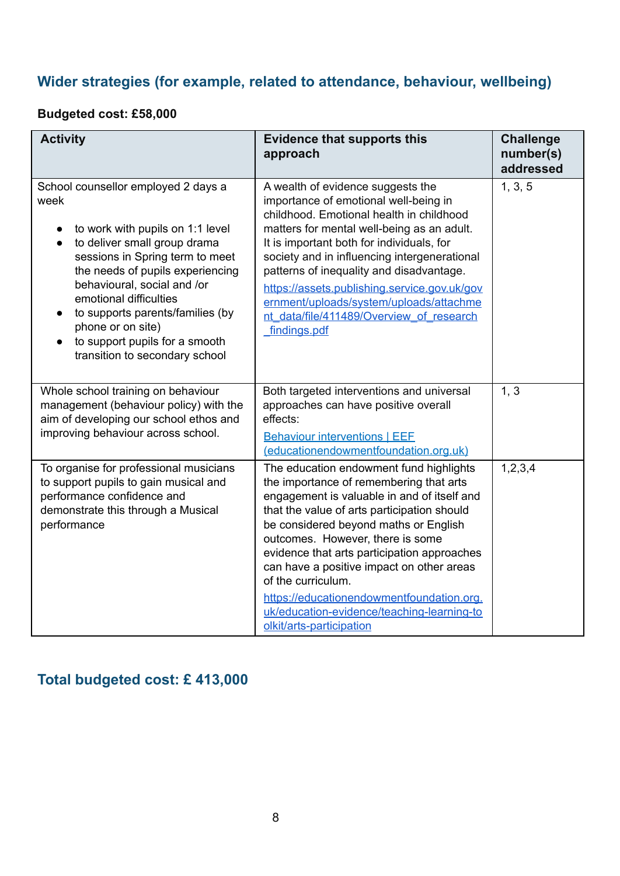### **Wider strategies (for example, related to attendance, behaviour, wellbeing)**

### **Budgeted cost: £58,000**

| <b>Activity</b>                                                                                                                                                                                                                                                                                                                                                                                        | <b>Evidence that supports this</b><br>approach                                                                                                                                                                                                                                                                                                                                                                                                                                                         | <b>Challenge</b><br>number(s)<br>addressed |
|--------------------------------------------------------------------------------------------------------------------------------------------------------------------------------------------------------------------------------------------------------------------------------------------------------------------------------------------------------------------------------------------------------|--------------------------------------------------------------------------------------------------------------------------------------------------------------------------------------------------------------------------------------------------------------------------------------------------------------------------------------------------------------------------------------------------------------------------------------------------------------------------------------------------------|--------------------------------------------|
| School counsellor employed 2 days a<br>week<br>to work with pupils on 1:1 level<br>to deliver small group drama<br>sessions in Spring term to meet<br>the needs of pupils experiencing<br>behavioural, social and /or<br>emotional difficulties<br>to supports parents/families (by<br>$\bullet$<br>phone or on site)<br>to support pupils for a smooth<br>$\bullet$<br>transition to secondary school | A wealth of evidence suggests the<br>importance of emotional well-being in<br>childhood. Emotional health in childhood<br>matters for mental well-being as an adult.<br>It is important both for individuals, for<br>society and in influencing intergenerational<br>patterns of inequality and disadvantage.<br>https://assets.publishing.service.gov.uk/gov<br>ernment/uploads/system/uploads/attachme<br>nt data/file/411489/Overview of research<br>findings.pdf                                   | 1, 3, 5                                    |
| Whole school training on behaviour<br>management (behaviour policy) with the<br>aim of developing our school ethos and<br>improving behaviour across school.                                                                                                                                                                                                                                           | Both targeted interventions and universal<br>approaches can have positive overall<br>effects:<br><b>Behaviour interventions   EEF</b><br>(educationendowmentfoundation.org.uk)                                                                                                                                                                                                                                                                                                                         | 1, 3                                       |
| To organise for professional musicians<br>to support pupils to gain musical and<br>performance confidence and<br>demonstrate this through a Musical<br>performance                                                                                                                                                                                                                                     | The education endowment fund highlights<br>the importance of remembering that arts<br>engagement is valuable in and of itself and<br>that the value of arts participation should<br>be considered beyond maths or English<br>outcomes. However, there is some<br>evidence that arts participation approaches<br>can have a positive impact on other areas<br>of the curriculum.<br>https://educationendowmentfoundation.org.<br>uk/education-evidence/teaching-learning-to<br>olkit/arts-participation | 1,2,3,4                                    |

### **Total budgeted cost: £ 413,000**